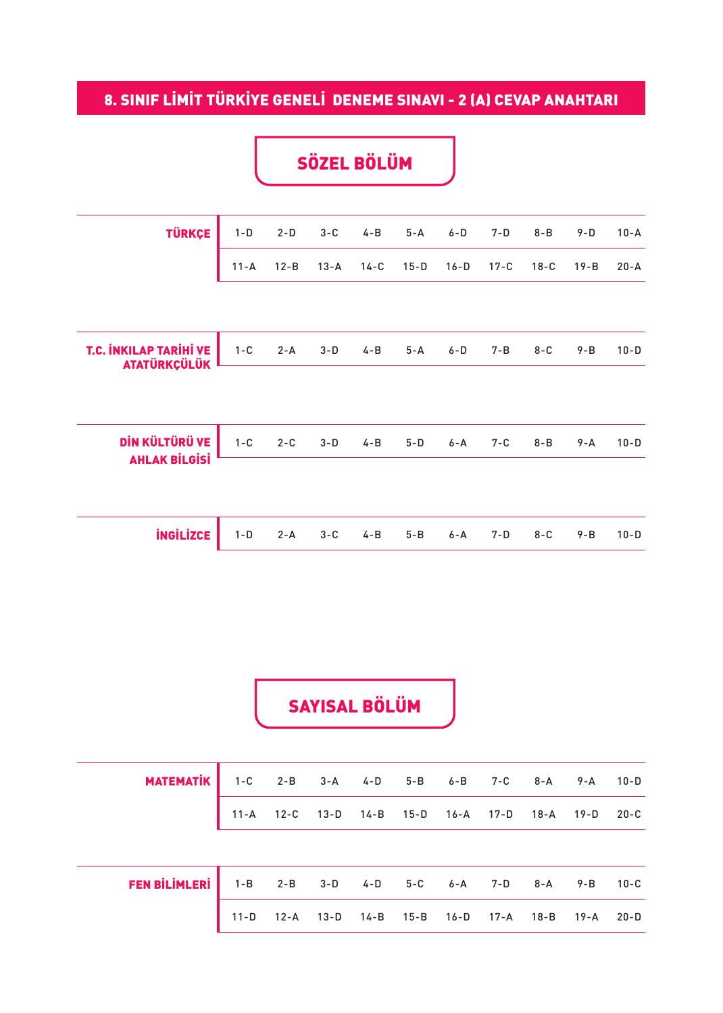## 8. SINIF LİMİT TÜRKİYE GENELİ DENEME SINAVI - 2 (A) CEVAP ANAHTARI

## SÖZEL BÖLÜM

| <b>TÜRKÇE</b>                                        | $1-D$    | $2-D$    | $3-C$    | $4 - B$ | $5 - A$ | $6 - D$ | $7-D$   | $8 - B$ | $9-D$    | $10 - A$ |
|------------------------------------------------------|----------|----------|----------|---------|---------|---------|---------|---------|----------|----------|
|                                                      | $11 - A$ | $12 - B$ | $13 - A$ | $14-C$  | $15-D$  | $16-D$  | $17-C$  | $18-C$  | $19 - B$ | $20 - A$ |
|                                                      |          |          |          |         |         |         |         |         |          |          |
| <b>T.C. INKILAP TARIHI VE</b><br><b>ATATÜRKÇÜLÜK</b> | $1 - C$  | $2 - A$  | $3-D$    | $4 - B$ | $5 - A$ | $6 - D$ | 7-B     | $8 - C$ | $9 - B$  | $10-D$   |
|                                                      |          |          |          |         |         |         |         |         |          |          |
| DİN KÜLTÜRÜ VE                                       | $1 - C$  | $2 - C$  | $3-D$    | $4 - B$ | $5-D$   | 6-A     | $7 - C$ | $8 - B$ | $9 - A$  | $10-D$   |
| <b>AHLAK BİLGİSİ</b>                                 |          |          |          |         |         |         |         |         |          |          |
|                                                      |          |          |          |         |         |         |         |         |          |          |
| <b>INGILIZCE</b>                                     | $1-D$    | $2 - A$  | $3-C$    | $4 - B$ | $5 - B$ | $6 - A$ | $7 - D$ | $8 - C$ | $9 - B$  | $10-D$   |
|                                                      |          |          |          |         |         |         |         |         |          |          |

SAYISAL BÖLÜM

| <b>MATEMATIK</b> 1-C 2-B 3-A 4-D 5-B 6-B 7-C 8-A 9-A 10-D     |                                                   |  |  |  |  |  |
|---------------------------------------------------------------|---------------------------------------------------|--|--|--|--|--|
|                                                               | 11-A 12-C 13-D 14-B 15-D 16-A 17-D 18-A 19-D 20-C |  |  |  |  |  |
|                                                               |                                                   |  |  |  |  |  |
| <b>FEN BİLİMLERİ</b> 1-B 2-B 3-D 4-D 5-C 6-A 7-D 8-A 9-B 10-C |                                                   |  |  |  |  |  |
|                                                               | 11-D 12-A 13-D 14-B 15-B 16-D 17-A 18-B 19-A 20-D |  |  |  |  |  |